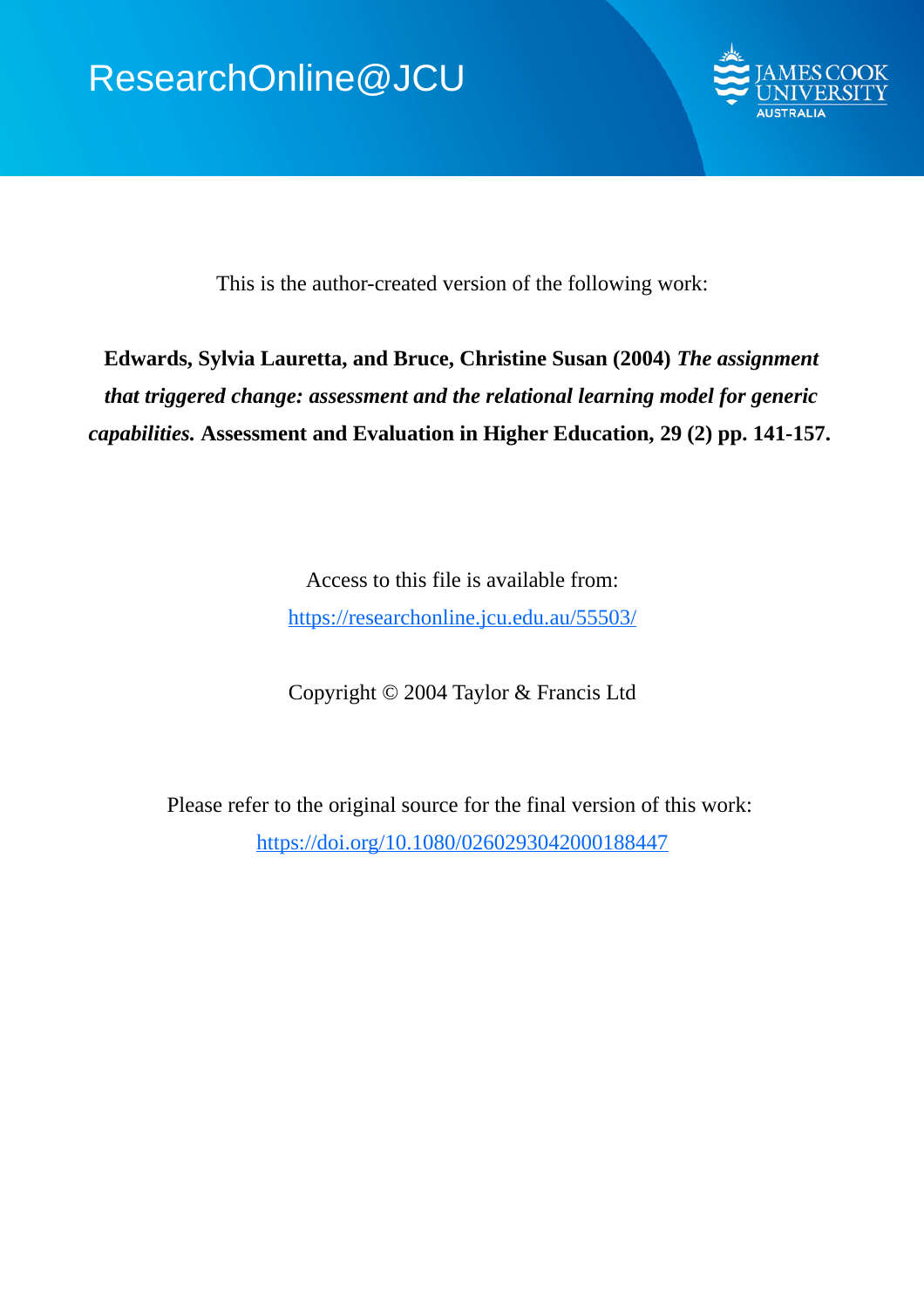

This is the author-created version of the following work:

# **Edwards, Sylvia Lauretta, and Bruce, Christine Susan (2004)** *The assignment that triggered change: assessment and the relational learning model for generic capabilities.* **Assessment and Evaluation in Higher Education, 29 (2) pp. 141-157.**

Access to this file is available from: https://researchonline.jcu.edu.au/55503/

Copyright © 2004 Taylor & Francis Ltd

Please refer to the original source for the final version of this work: https://doi.org/10.1080/0260293042000188447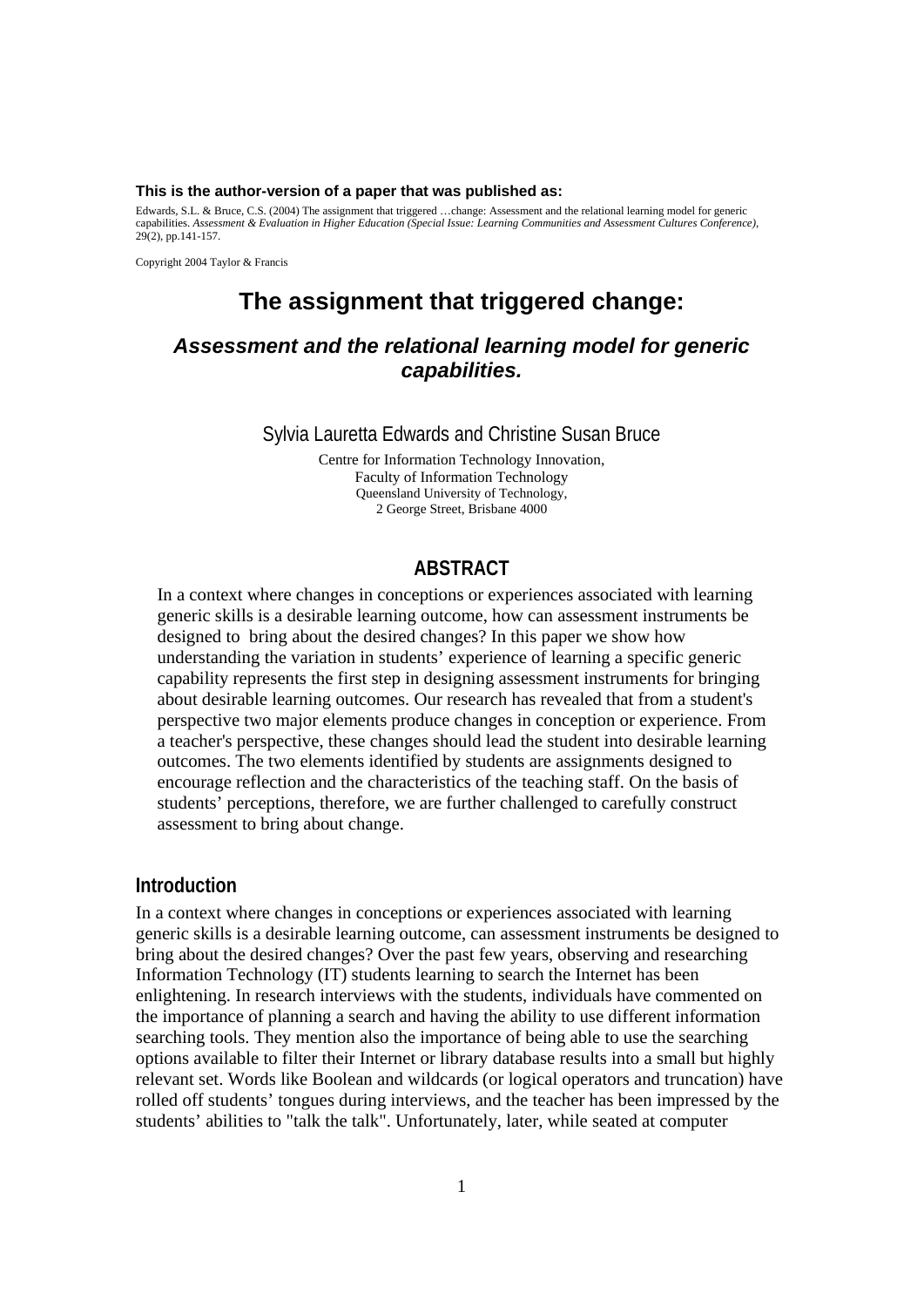#### **This is the author-version of a paper that was published as:**

Edwards, S.L. & Bruce, C.S. (2004) The assignment that triggered …change: Assessment and the relational learning model for generic capabilities. *Assessment & Evaluation in Higher Education (Special Issue: Learning Communities and Assessment Cultures Conference),*  29(2), pp.141-157.

Copyright 2004 Taylor & Francis

# **The assignment that triggered change:**

# *Assessment and the relational learning model for generic capabilities.*

Sylvia Lauretta Edwards and Christine Susan Bruce

Centre for Information Technology Innovation, Faculty of Information Technology Queensland University of Technology, 2 George Street, Brisbane 4000

### **ABSTRACT**

In a context where changes in conceptions or experiences associated with learning generic skills is a desirable learning outcome, how can assessment instruments be designed to bring about the desired changes? In this paper we show how understanding the variation in students' experience of learning a specific generic capability represents the first step in designing assessment instruments for bringing about desirable learning outcomes. Our research has revealed that from a student's perspective two major elements produce changes in conception or experience. From a teacher's perspective, these changes should lead the student into desirable learning outcomes. The two elements identified by students are assignments designed to encourage reflection and the characteristics of the teaching staff. On the basis of students' perceptions, therefore, we are further challenged to carefully construct assessment to bring about change.

#### **Introduction**

In a context where changes in conceptions or experiences associated with learning generic skills is a desirable learning outcome, can assessment instruments be designed to bring about the desired changes? Over the past few years, observing and researching Information Technology (IT) students learning to search the Internet has been enlightening. In research interviews with the students, individuals have commented on the importance of planning a search and having the ability to use different information searching tools. They mention also the importance of being able to use the searching options available to filter their Internet or library database results into a small but highly relevant set. Words like Boolean and wildcards (or logical operators and truncation) have rolled off students' tongues during interviews, and the teacher has been impressed by the students' abilities to "talk the talk". Unfortunately, later, while seated at computer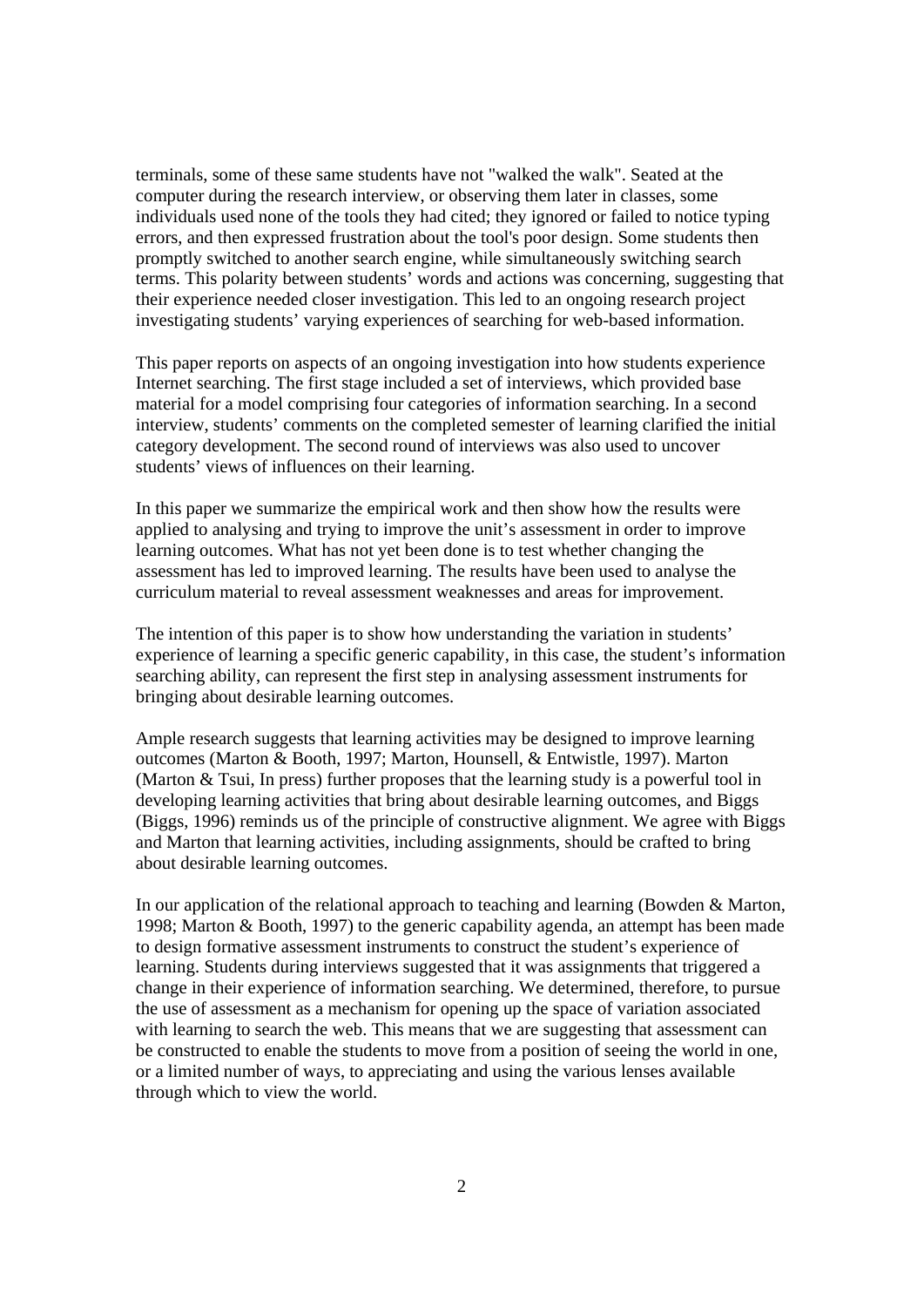terminals, some of these same students have not "walked the walk". Seated at the computer during the research interview, or observing them later in classes, some individuals used none of the tools they had cited; they ignored or failed to notice typing errors, and then expressed frustration about the tool's poor design. Some students then promptly switched to another search engine, while simultaneously switching search terms. This polarity between students' words and actions was concerning, suggesting that their experience needed closer investigation. This led to an ongoing research project investigating students' varying experiences of searching for web-based information.

This paper reports on aspects of an ongoing investigation into how students experience Internet searching. The first stage included a set of interviews, which provided base material for a model comprising four categories of information searching. In a second interview, students' comments on the completed semester of learning clarified the initial category development. The second round of interviews was also used to uncover students' views of influences on their learning.

In this paper we summarize the empirical work and then show how the results were applied to analysing and trying to improve the unit's assessment in order to improve learning outcomes. What has not yet been done is to test whether changing the assessment has led to improved learning. The results have been used to analyse the curriculum material to reveal assessment weaknesses and areas for improvement.

The intention of this paper is to show how understanding the variation in students' experience of learning a specific generic capability, in this case, the student's information searching ability, can represent the first step in analysing assessment instruments for bringing about desirable learning outcomes.

Ample research suggests that learning activities may be designed to improve learning outcomes (Marton & Booth, 1997; Marton, Hounsell, & Entwistle, 1997). Marton (Marton  $\&$  Tsui, In press) further proposes that the learning study is a powerful tool in developing learning activities that bring about desirable learning outcomes, and Biggs (Biggs, 1996) reminds us of the principle of constructive alignment. We agree with Biggs and Marton that learning activities, including assignments, should be crafted to bring about desirable learning outcomes.

In our application of the relational approach to teaching and learning (Bowden & Marton, 1998; Marton & Booth, 1997) to the generic capability agenda, an attempt has been made to design formative assessment instruments to construct the student's experience of learning. Students during interviews suggested that it was assignments that triggered a change in their experience of information searching. We determined, therefore, to pursue the use of assessment as a mechanism for opening up the space of variation associated with learning to search the web. This means that we are suggesting that assessment can be constructed to enable the students to move from a position of seeing the world in one, or a limited number of ways, to appreciating and using the various lenses available through which to view the world.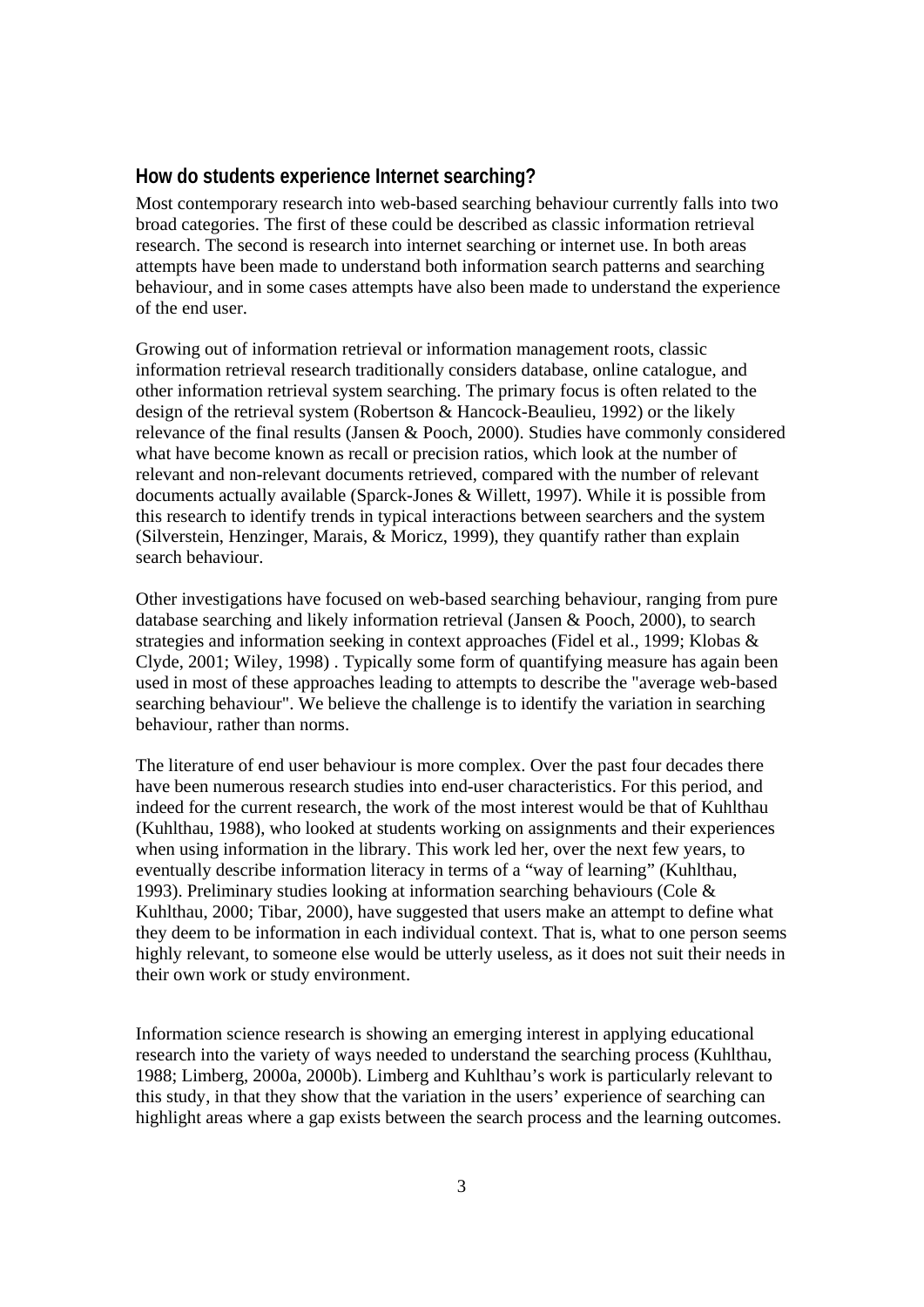## **How do students experience Internet searching?**

Most contemporary research into web-based searching behaviour currently falls into two broad categories. The first of these could be described as classic information retrieval research. The second is research into internet searching or internet use. In both areas attempts have been made to understand both information search patterns and searching behaviour, and in some cases attempts have also been made to understand the experience of the end user.

Growing out of information retrieval or information management roots, classic information retrieval research traditionally considers database, online catalogue, and other information retrieval system searching. The primary focus is often related to the design of the retrieval system (Robertson & Hancock-Beaulieu, 1992) or the likely relevance of the final results (Jansen & Pooch, 2000). Studies have commonly considered what have become known as recall or precision ratios, which look at the number of relevant and non-relevant documents retrieved, compared with the number of relevant documents actually available (Sparck-Jones & Willett, 1997). While it is possible from this research to identify trends in typical interactions between searchers and the system (Silverstein, Henzinger, Marais, & Moricz, 1999), they quantify rather than explain search behaviour.

Other investigations have focused on web-based searching behaviour, ranging from pure database searching and likely information retrieval (Jansen & Pooch, 2000), to search strategies and information seeking in context approaches (Fidel et al., 1999; Klobas & Clyde, 2001; Wiley, 1998) . Typically some form of quantifying measure has again been used in most of these approaches leading to attempts to describe the "average web-based searching behaviour". We believe the challenge is to identify the variation in searching behaviour, rather than norms.

The literature of end user behaviour is more complex. Over the past four decades there have been numerous research studies into end-user characteristics. For this period, and indeed for the current research, the work of the most interest would be that of Kuhlthau (Kuhlthau, 1988), who looked at students working on assignments and their experiences when using information in the library. This work led her, over the next few years, to eventually describe information literacy in terms of a "way of learning" (Kuhlthau, 1993). Preliminary studies looking at information searching behaviours (Cole & Kuhlthau, 2000; Tibar, 2000), have suggested that users make an attempt to define what they deem to be information in each individual context. That is, what to one person seems highly relevant, to someone else would be utterly useless, as it does not suit their needs in their own work or study environment.

Information science research is showing an emerging interest in applying educational research into the variety of ways needed to understand the searching process (Kuhlthau, 1988; Limberg, 2000a, 2000b). Limberg and Kuhlthau's work is particularly relevant to this study, in that they show that the variation in the users' experience of searching can highlight areas where a gap exists between the search process and the learning outcomes.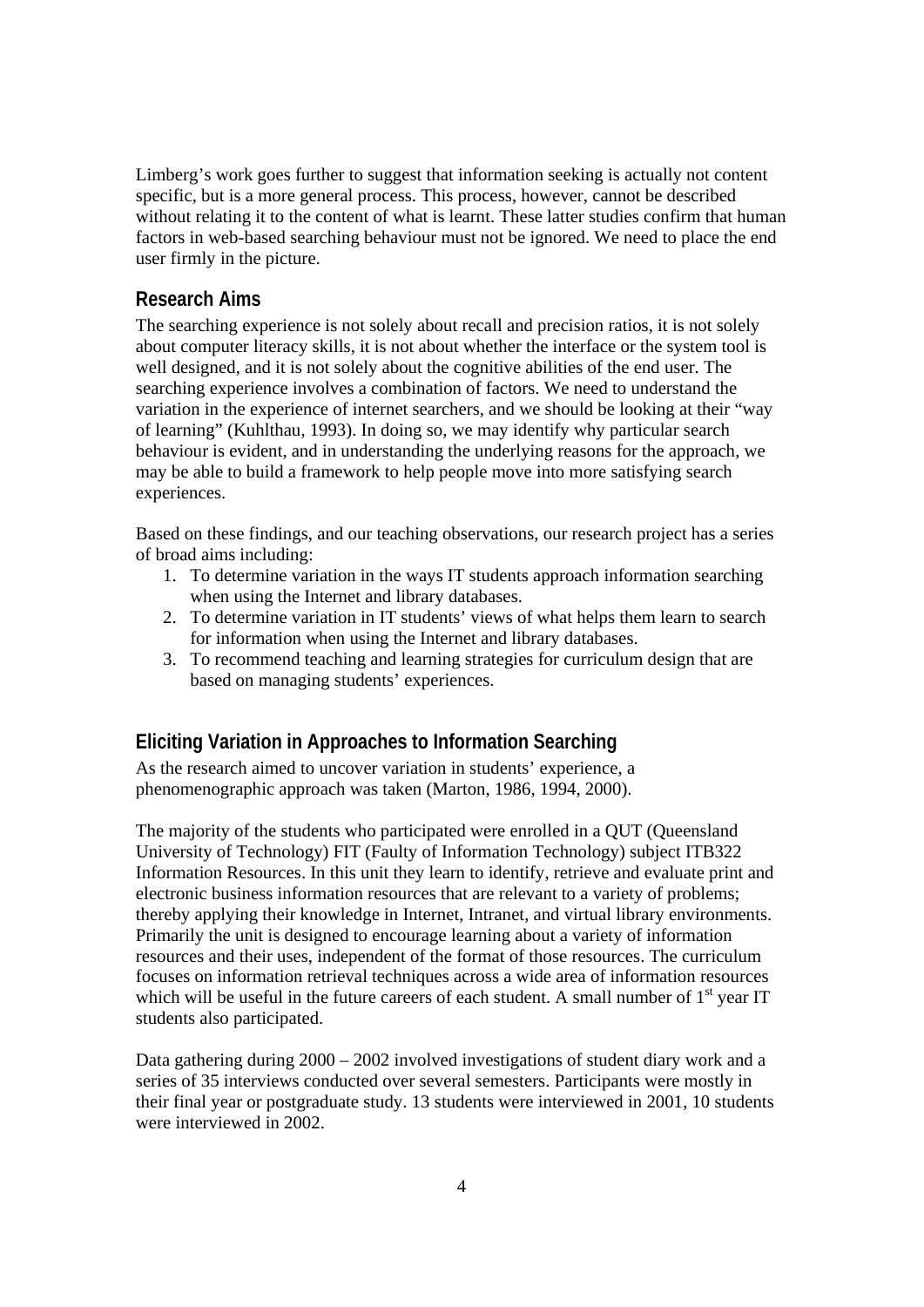Limberg's work goes further to suggest that information seeking is actually not content specific, but is a more general process. This process, however, cannot be described without relating it to the content of what is learnt. These latter studies confirm that human factors in web-based searching behaviour must not be ignored. We need to place the end user firmly in the picture.

# **Research Aims**

The searching experience is not solely about recall and precision ratios, it is not solely about computer literacy skills, it is not about whether the interface or the system tool is well designed, and it is not solely about the cognitive abilities of the end user. The searching experience involves a combination of factors. We need to understand the variation in the experience of internet searchers, and we should be looking at their "way of learning" (Kuhlthau, 1993). In doing so, we may identify why particular search behaviour is evident, and in understanding the underlying reasons for the approach, we may be able to build a framework to help people move into more satisfying search experiences.

Based on these findings, and our teaching observations, our research project has a series of broad aims including:

- 1. To determine variation in the ways IT students approach information searching when using the Internet and library databases.
- 2. To determine variation in IT students' views of what helps them learn to search for information when using the Internet and library databases.
- 3. To recommend teaching and learning strategies for curriculum design that are based on managing students' experiences.

# **Eliciting Variation in Approaches to Information Searching**

As the research aimed to uncover variation in students' experience, a phenomenographic approach was taken (Marton, 1986, 1994, 2000).

The majority of the students who participated were enrolled in a QUT (Queensland University of Technology) FIT (Faulty of Information Technology) subject ITB322 Information Resources. In this unit they learn to identify, retrieve and evaluate print and electronic business information resources that are relevant to a variety of problems; thereby applying their knowledge in Internet, Intranet, and virtual library environments. Primarily the unit is designed to encourage learning about a variety of information resources and their uses, independent of the format of those resources. The curriculum focuses on information retrieval techniques across a wide area of information resources which will be useful in the future careers of each student. A small number of  $1<sup>st</sup>$  year IT students also participated.

Data gathering during 2000 – 2002 involved investigations of student diary work and a series of 35 interviews conducted over several semesters. Participants were mostly in their final year or postgraduate study. 13 students were interviewed in 2001, 10 students were interviewed in 2002.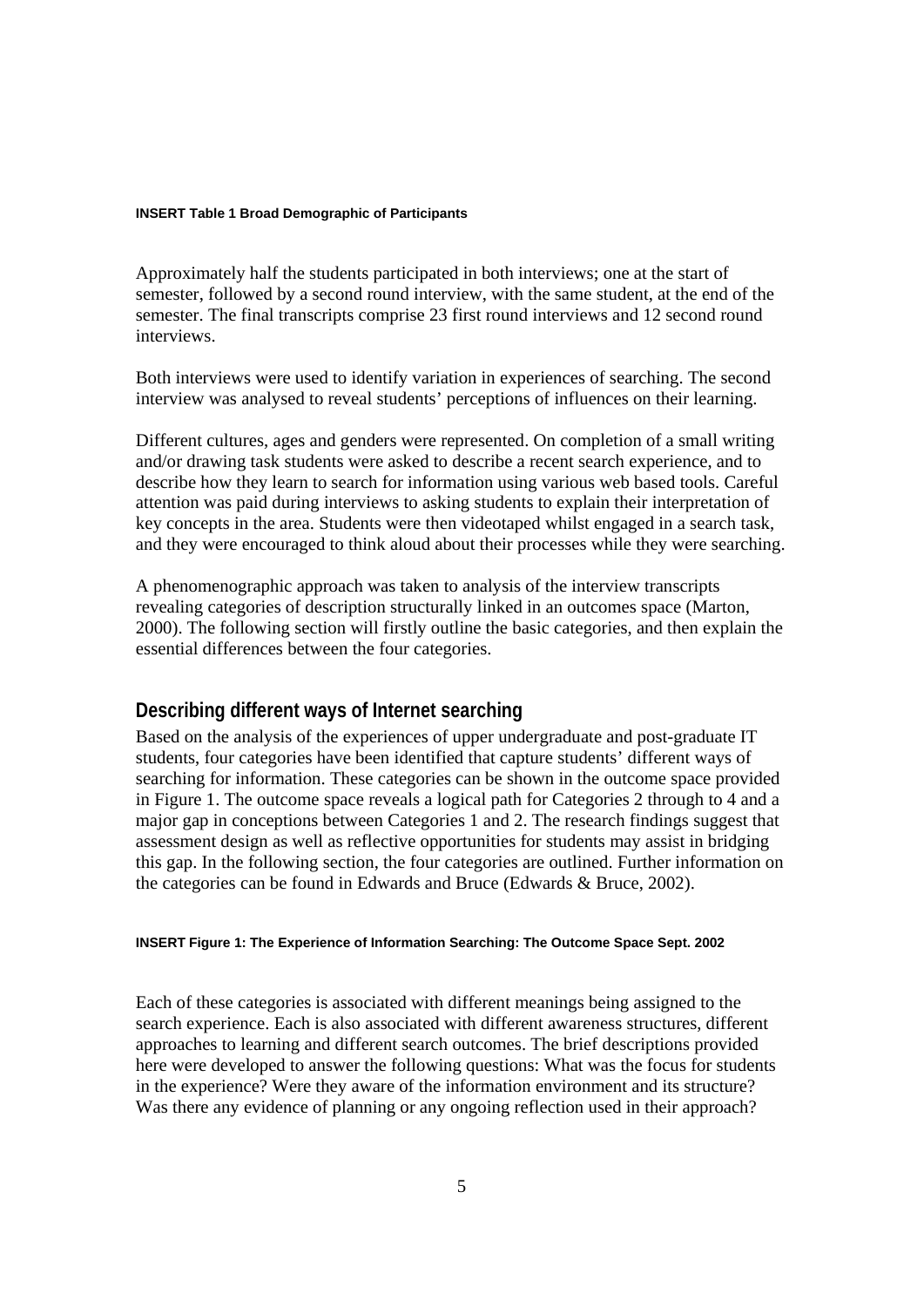#### **INSERT Table 1 Broad Demographic of Participants**

Approximately half the students participated in both interviews; one at the start of semester, followed by a second round interview, with the same student, at the end of the semester. The final transcripts comprise 23 first round interviews and 12 second round interviews.

Both interviews were used to identify variation in experiences of searching. The second interview was analysed to reveal students' perceptions of influences on their learning.

Different cultures, ages and genders were represented. On completion of a small writing and/or drawing task students were asked to describe a recent search experience, and to describe how they learn to search for information using various web based tools. Careful attention was paid during interviews to asking students to explain their interpretation of key concepts in the area. Students were then videotaped whilst engaged in a search task, and they were encouraged to think aloud about their processes while they were searching.

A phenomenographic approach was taken to analysis of the interview transcripts revealing categories of description structurally linked in an outcomes space (Marton, 2000). The following section will firstly outline the basic categories, and then explain the essential differences between the four categories.

# **Describing different ways of Internet searching**

Based on the analysis of the experiences of upper undergraduate and post-graduate IT students, four categories have been identified that capture students' different ways of searching for information. These categories can be shown in the outcome space provided in Figure 1. The outcome space reveals a logical path for Categories 2 through to 4 and a major gap in conceptions between Categories 1 and 2. The research findings suggest that assessment design as well as reflective opportunities for students may assist in bridging this gap. In the following section, the four categories are outlined. Further information on the categories can be found in Edwards and Bruce (Edwards & Bruce, 2002).

#### **INSERT Figure 1: The Experience of Information Searching: The Outcome Space Sept. 2002**

Each of these categories is associated with different meanings being assigned to the search experience. Each is also associated with different awareness structures, different approaches to learning and different search outcomes. The brief descriptions provided here were developed to answer the following questions: What was the focus for students in the experience? Were they aware of the information environment and its structure? Was there any evidence of planning or any ongoing reflection used in their approach?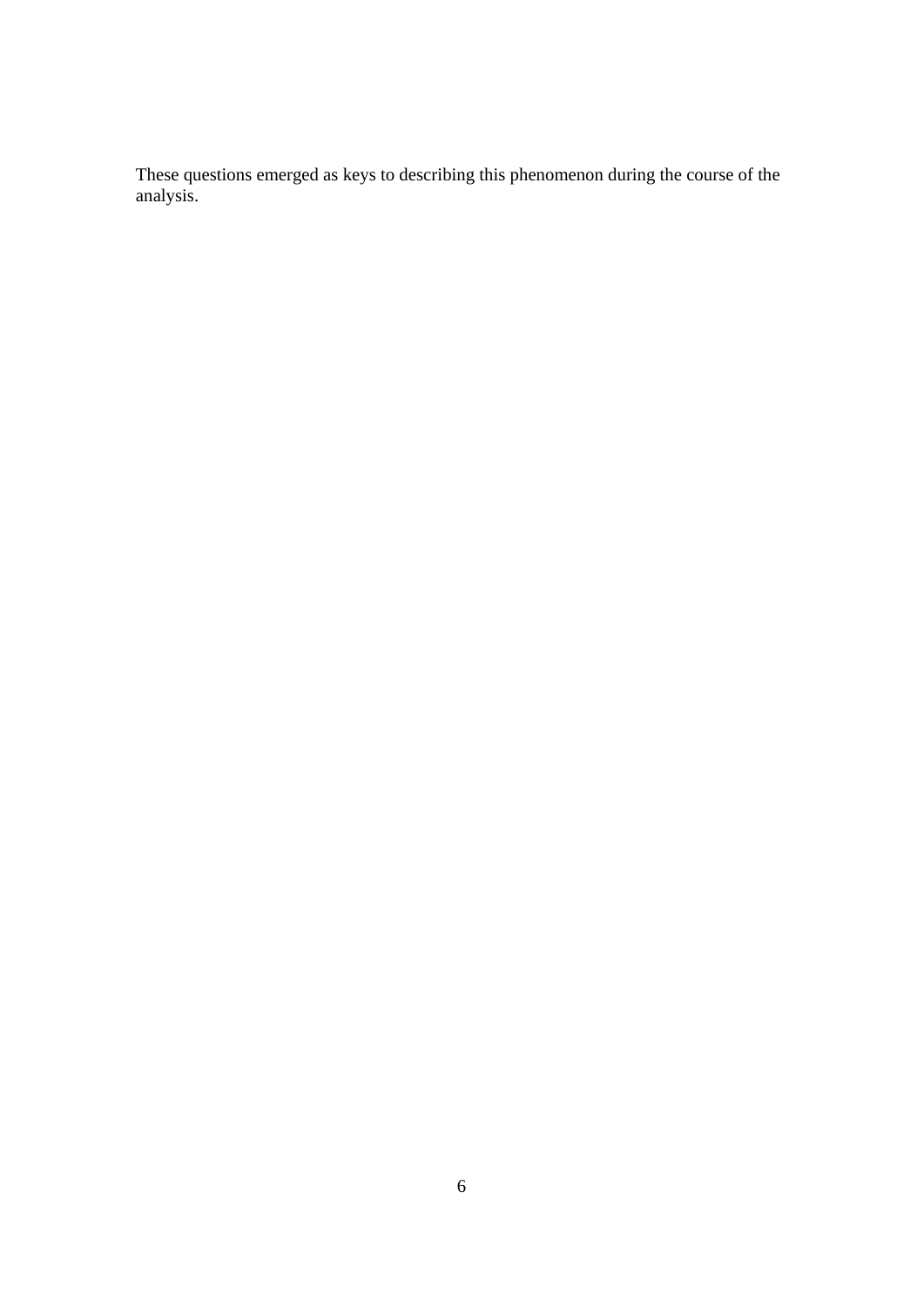These questions emerged as keys to describing this phenomenon during the course of the analysis.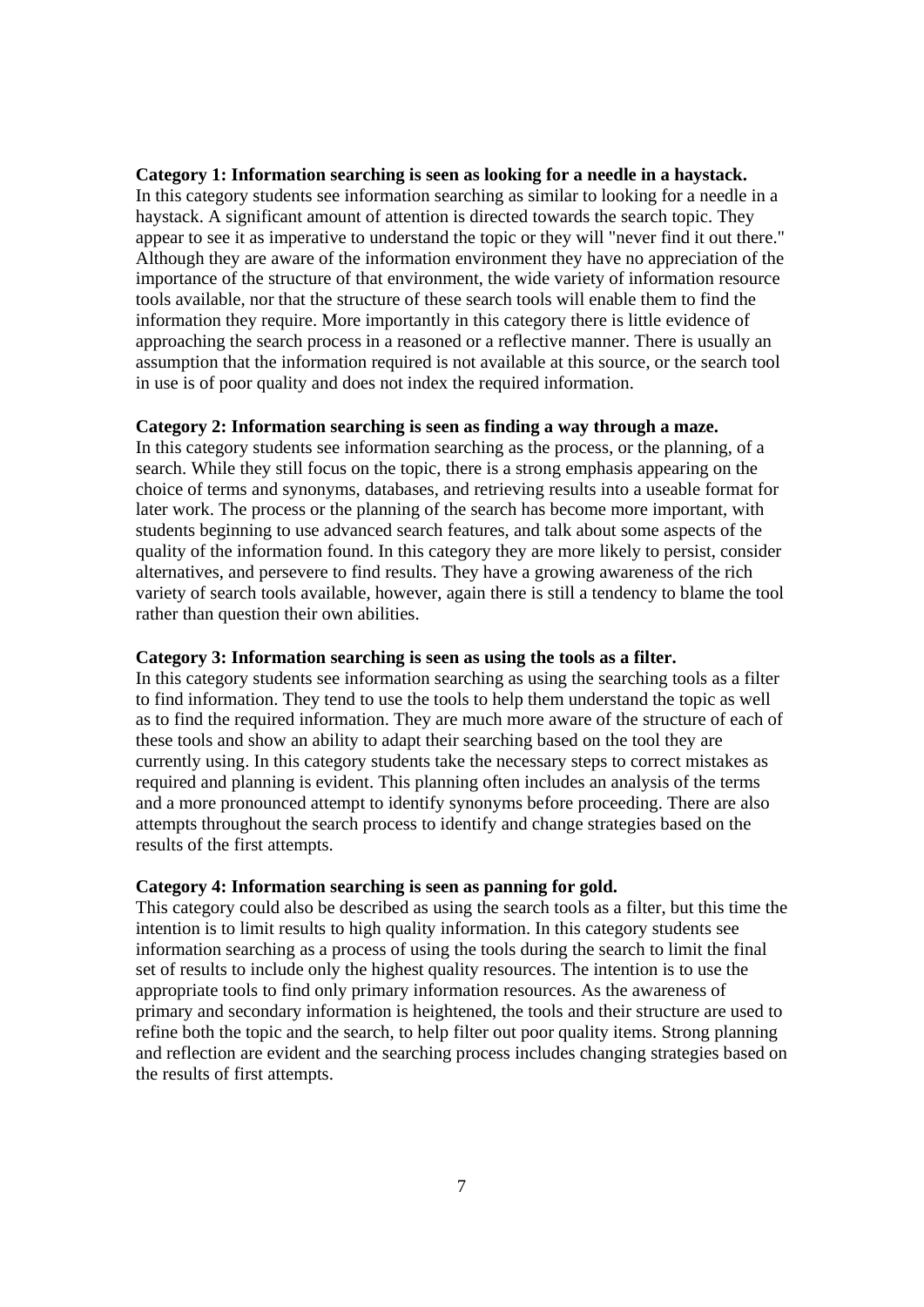#### **Category 1: Information searching is seen as looking for a needle in a haystack.**

In this category students see information searching as similar to looking for a needle in a haystack. A significant amount of attention is directed towards the search topic. They appear to see it as imperative to understand the topic or they will "never find it out there." Although they are aware of the information environment they have no appreciation of the importance of the structure of that environment, the wide variety of information resource tools available, nor that the structure of these search tools will enable them to find the information they require. More importantly in this category there is little evidence of approaching the search process in a reasoned or a reflective manner. There is usually an assumption that the information required is not available at this source, or the search tool in use is of poor quality and does not index the required information.

#### **Category 2: Information searching is seen as finding a way through a maze.**

In this category students see information searching as the process, or the planning, of a search. While they still focus on the topic, there is a strong emphasis appearing on the choice of terms and synonyms, databases, and retrieving results into a useable format for later work. The process or the planning of the search has become more important, with students beginning to use advanced search features, and talk about some aspects of the quality of the information found. In this category they are more likely to persist, consider alternatives, and persevere to find results. They have a growing awareness of the rich variety of search tools available, however, again there is still a tendency to blame the tool rather than question their own abilities.

#### **Category 3: Information searching is seen as using the tools as a filter.**

In this category students see information searching as using the searching tools as a filter to find information. They tend to use the tools to help them understand the topic as well as to find the required information. They are much more aware of the structure of each of these tools and show an ability to adapt their searching based on the tool they are currently using. In this category students take the necessary steps to correct mistakes as required and planning is evident. This planning often includes an analysis of the terms and a more pronounced attempt to identify synonyms before proceeding. There are also attempts throughout the search process to identify and change strategies based on the results of the first attempts.

#### **Category 4: Information searching is seen as panning for gold.**

This category could also be described as using the search tools as a filter, but this time the intention is to limit results to high quality information. In this category students see information searching as a process of using the tools during the search to limit the final set of results to include only the highest quality resources. The intention is to use the appropriate tools to find only primary information resources. As the awareness of primary and secondary information is heightened, the tools and their structure are used to refine both the topic and the search, to help filter out poor quality items. Strong planning and reflection are evident and the searching process includes changing strategies based on the results of first attempts.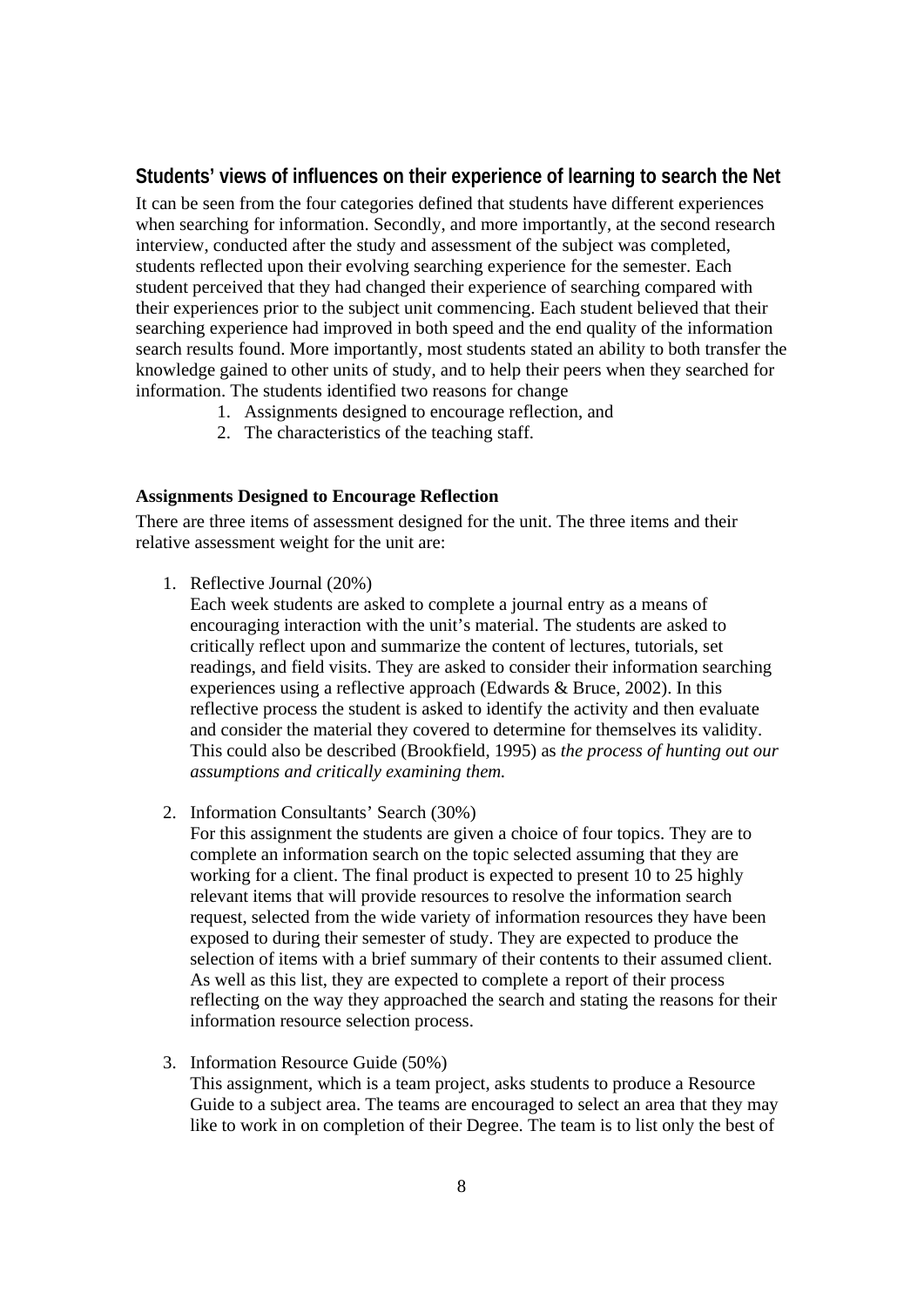# **Students' views of influences on their experience of learning to search the Net**

It can be seen from the four categories defined that students have different experiences when searching for information. Secondly, and more importantly, at the second research interview, conducted after the study and assessment of the subject was completed, students reflected upon their evolving searching experience for the semester. Each student perceived that they had changed their experience of searching compared with their experiences prior to the subject unit commencing. Each student believed that their searching experience had improved in both speed and the end quality of the information search results found. More importantly, most students stated an ability to both transfer the knowledge gained to other units of study, and to help their peers when they searched for information. The students identified two reasons for change

- 1. Assignments designed to encourage reflection, and
- 2. The characteristics of the teaching staff.

#### **Assignments Designed to Encourage Reflection**

There are three items of assessment designed for the unit. The three items and their relative assessment weight for the unit are:

1. Reflective Journal (20%)

Each week students are asked to complete a journal entry as a means of encouraging interaction with the unit's material. The students are asked to critically reflect upon and summarize the content of lectures, tutorials, set readings, and field visits. They are asked to consider their information searching experiences using a reflective approach (Edwards & Bruce, 2002). In this reflective process the student is asked to identify the activity and then evaluate and consider the material they covered to determine for themselves its validity. This could also be described (Brookfield, 1995) as *the process of hunting out our assumptions and critically examining them.*

2. Information Consultants' Search (30%)

For this assignment the students are given a choice of four topics. They are to complete an information search on the topic selected assuming that they are working for a client. The final product is expected to present 10 to 25 highly relevant items that will provide resources to resolve the information search request, selected from the wide variety of information resources they have been exposed to during their semester of study. They are expected to produce the selection of items with a brief summary of their contents to their assumed client. As well as this list, they are expected to complete a report of their process reflecting on the way they approached the search and stating the reasons for their information resource selection process.

#### 3. Information Resource Guide (50%)

This assignment, which is a team project, asks students to produce a Resource Guide to a subject area. The teams are encouraged to select an area that they may like to work in on completion of their Degree. The team is to list only the best of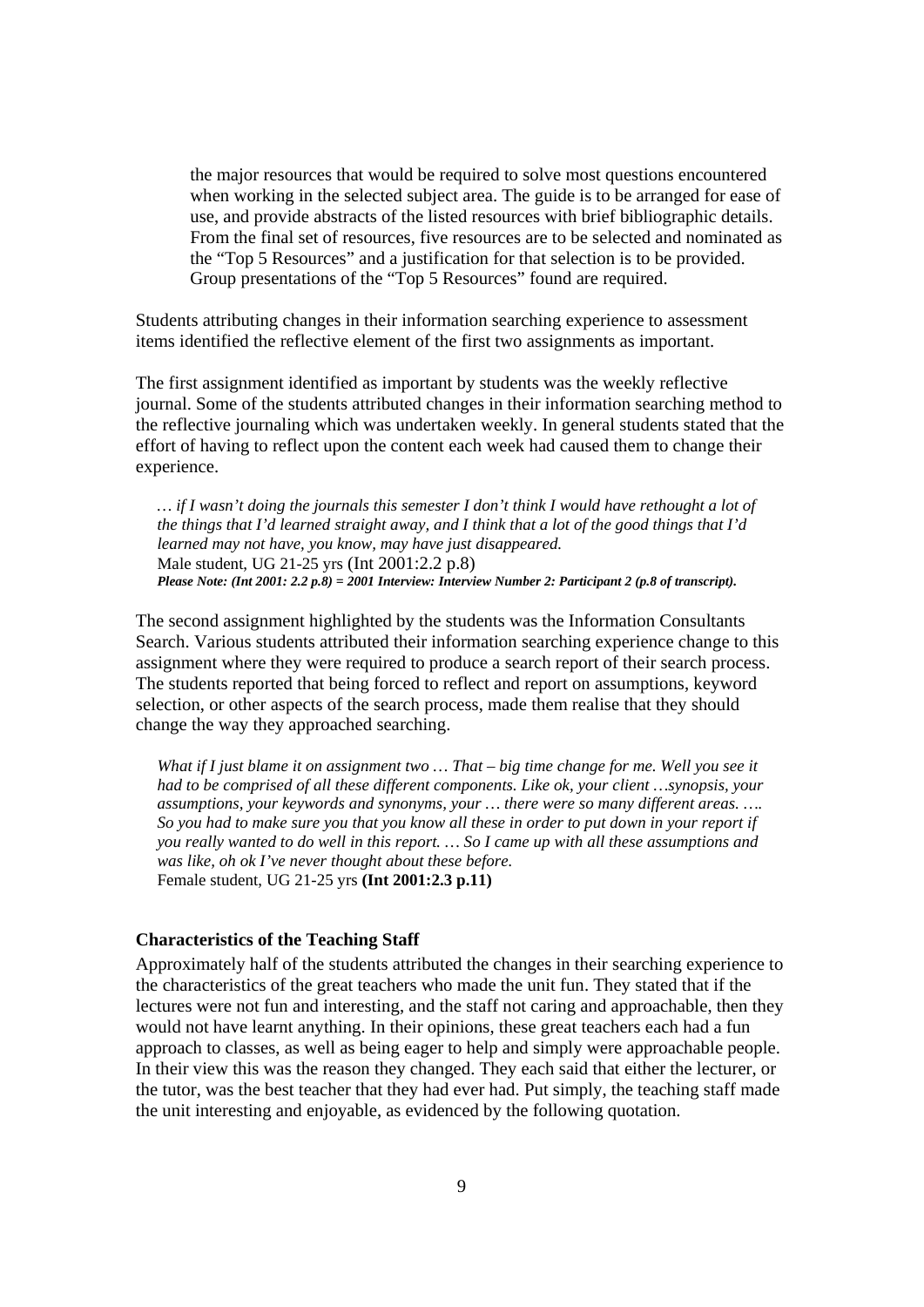the major resources that would be required to solve most questions encountered when working in the selected subject area. The guide is to be arranged for ease of use, and provide abstracts of the listed resources with brief bibliographic details. From the final set of resources, five resources are to be selected and nominated as the "Top 5 Resources" and a justification for that selection is to be provided. Group presentations of the "Top 5 Resources" found are required.

Students attributing changes in their information searching experience to assessment items identified the reflective element of the first two assignments as important.

The first assignment identified as important by students was the weekly reflective journal. Some of the students attributed changes in their information searching method to the reflective journaling which was undertaken weekly. In general students stated that the effort of having to reflect upon the content each week had caused them to change their experience.

*… if I wasn't doing the journals this semester I don't think I would have rethought a lot of the things that I'd learned straight away, and I think that a lot of the good things that I'd learned may not have, you know, may have just disappeared.*  Male student, UG 21-25 yrs (Int 2001:2.2 p.8) *Please Note: (Int 2001: 2.2 p.8) = 2001 Interview: Interview Number 2: Participant 2 (p.8 of transcript).*

The second assignment highlighted by the students was the Information Consultants Search. Various students attributed their information searching experience change to this assignment where they were required to produce a search report of their search process. The students reported that being forced to reflect and report on assumptions, keyword selection, or other aspects of the search process, made them realise that they should change the way they approached searching.

*What if I just blame it on assignment two … That – big time change for me. Well you see it had to be comprised of all these different components. Like ok, your client …synopsis, your assumptions, your keywords and synonyms, your … there were so many different areas. …. So you had to make sure you that you know all these in order to put down in your report if you really wanted to do well in this report. … So I came up with all these assumptions and was like, oh ok I've never thought about these before.*  Female student, UG 21-25 yrs **(Int 2001:2.3 p.11)** 

#### **Characteristics of the Teaching Staff**

Approximately half of the students attributed the changes in their searching experience to the characteristics of the great teachers who made the unit fun. They stated that if the lectures were not fun and interesting, and the staff not caring and approachable, then they would not have learnt anything. In their opinions, these great teachers each had a fun approach to classes, as well as being eager to help and simply were approachable people. In their view this was the reason they changed. They each said that either the lecturer, or the tutor, was the best teacher that they had ever had. Put simply, the teaching staff made the unit interesting and enjoyable, as evidenced by the following quotation.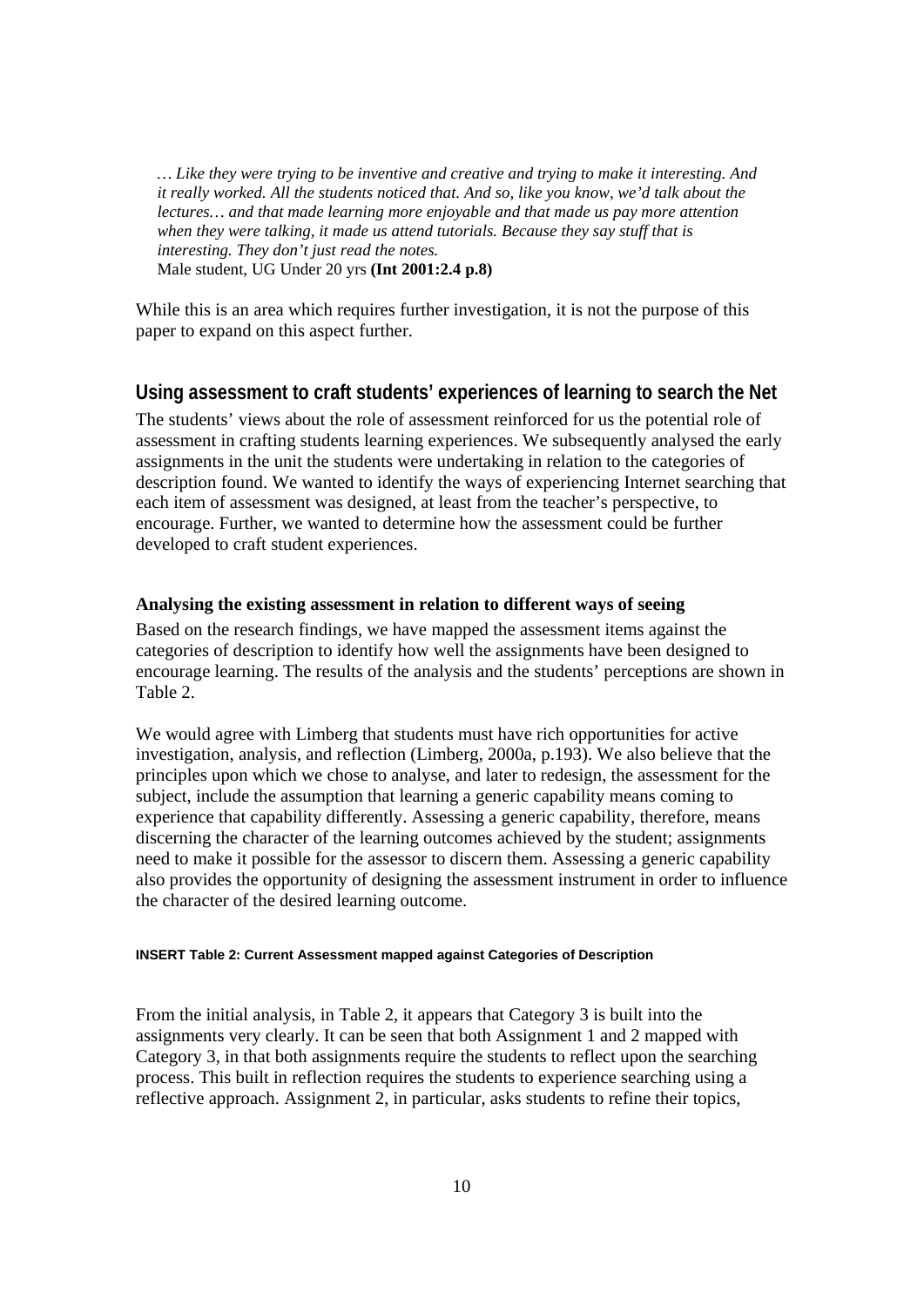*… Like they were trying to be inventive and creative and trying to make it interesting. And it really worked. All the students noticed that. And so, like you know, we'd talk about the lectures… and that made learning more enjoyable and that made us pay more attention when they were talking, it made us attend tutorials. Because they say stuff that is interesting. They don't just read the notes.* Male student, UG Under 20 yrs **(Int 2001:2.4 p.8)** 

While this is an area which requires further investigation, it is not the purpose of this paper to expand on this aspect further.

### **Using assessment to craft students' experiences of learning to search the Net**

The students' views about the role of assessment reinforced for us the potential role of assessment in crafting students learning experiences. We subsequently analysed the early assignments in the unit the students were undertaking in relation to the categories of description found. We wanted to identify the ways of experiencing Internet searching that each item of assessment was designed, at least from the teacher's perspective, to encourage. Further, we wanted to determine how the assessment could be further developed to craft student experiences.

#### **Analysing the existing assessment in relation to different ways of seeing**

Based on the research findings, we have mapped the assessment items against the categories of description to identify how well the assignments have been designed to encourage learning. The results of the analysis and the students' perceptions are shown in Table 2.

We would agree with Limberg that students must have rich opportunities for active investigation, analysis, and reflection (Limberg, 2000a, p.193). We also believe that the principles upon which we chose to analyse, and later to redesign, the assessment for the subject, include the assumption that learning a generic capability means coming to experience that capability differently. Assessing a generic capability, therefore, means discerning the character of the learning outcomes achieved by the student; assignments need to make it possible for the assessor to discern them. Assessing a generic capability also provides the opportunity of designing the assessment instrument in order to influence the character of the desired learning outcome.

#### **INSERT Table 2: Current Assessment mapped against Categories of Description**

From the initial analysis, in Table 2, it appears that Category 3 is built into the assignments very clearly. It can be seen that both Assignment 1 and 2 mapped with Category 3, in that both assignments require the students to reflect upon the searching process. This built in reflection requires the students to experience searching using a reflective approach. Assignment 2, in particular, asks students to refine their topics,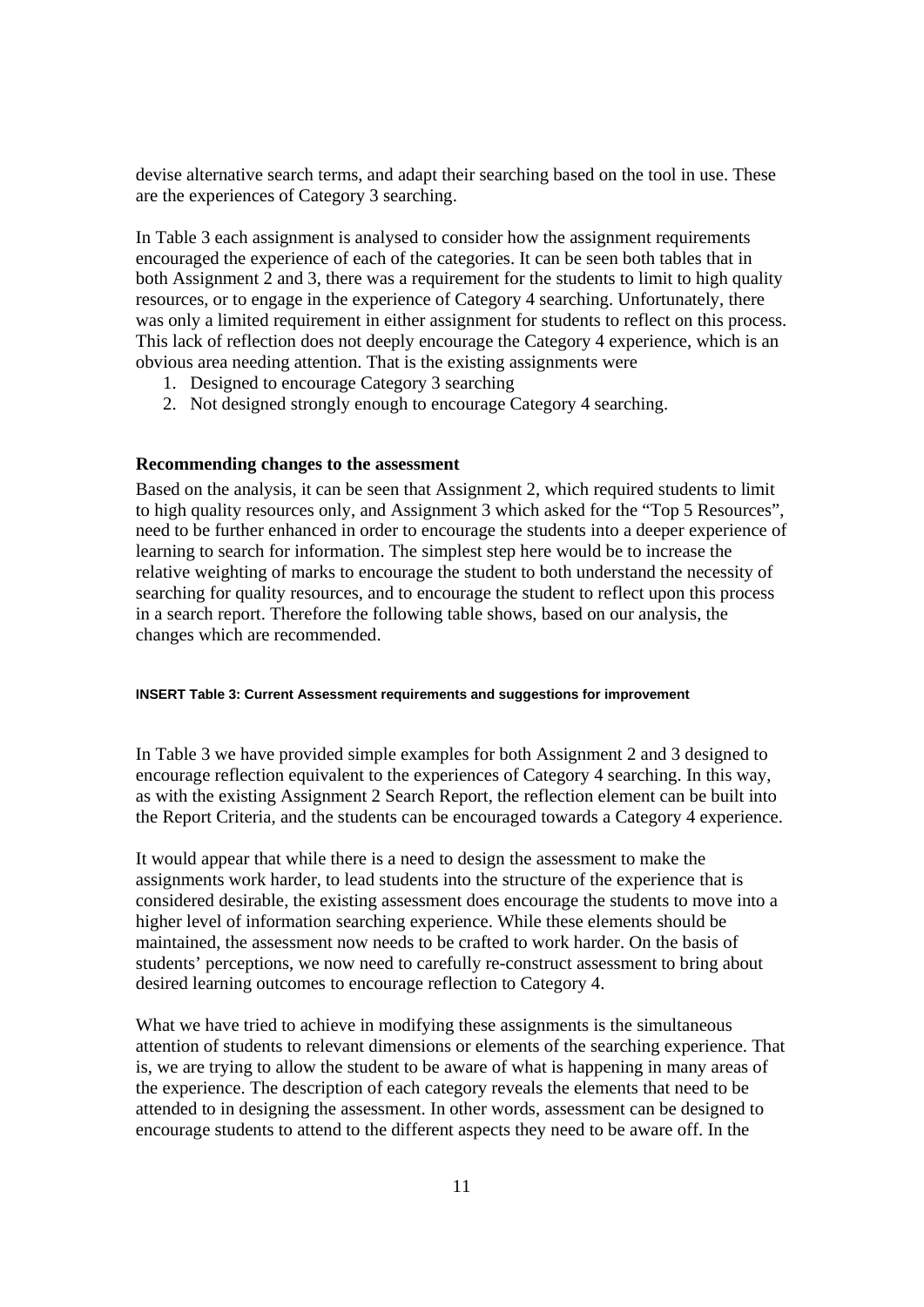devise alternative search terms, and adapt their searching based on the tool in use. These are the experiences of Category 3 searching.

In Table 3 each assignment is analysed to consider how the assignment requirements encouraged the experience of each of the categories. It can be seen both tables that in both Assignment 2 and 3, there was a requirement for the students to limit to high quality resources, or to engage in the experience of Category 4 searching. Unfortunately, there was only a limited requirement in either assignment for students to reflect on this process. This lack of reflection does not deeply encourage the Category 4 experience, which is an obvious area needing attention. That is the existing assignments were

- 1. Designed to encourage Category 3 searching
- 2. Not designed strongly enough to encourage Category 4 searching.

#### **Recommending changes to the assessment**

Based on the analysis, it can be seen that Assignment 2, which required students to limit to high quality resources only, and Assignment 3 which asked for the "Top 5 Resources", need to be further enhanced in order to encourage the students into a deeper experience of learning to search for information. The simplest step here would be to increase the relative weighting of marks to encourage the student to both understand the necessity of searching for quality resources, and to encourage the student to reflect upon this process in a search report. Therefore the following table shows, based on our analysis, the changes which are recommended.

#### **INSERT Table 3: Current Assessment requirements and suggestions for improvement**

In Table 3 we have provided simple examples for both Assignment 2 and 3 designed to encourage reflection equivalent to the experiences of Category 4 searching. In this way, as with the existing Assignment 2 Search Report, the reflection element can be built into the Report Criteria, and the students can be encouraged towards a Category 4 experience.

It would appear that while there is a need to design the assessment to make the assignments work harder, to lead students into the structure of the experience that is considered desirable, the existing assessment does encourage the students to move into a higher level of information searching experience. While these elements should be maintained, the assessment now needs to be crafted to work harder. On the basis of students' perceptions, we now need to carefully re-construct assessment to bring about desired learning outcomes to encourage reflection to Category 4.

What we have tried to achieve in modifying these assignments is the simultaneous attention of students to relevant dimensions or elements of the searching experience. That is, we are trying to allow the student to be aware of what is happening in many areas of the experience. The description of each category reveals the elements that need to be attended to in designing the assessment. In other words, assessment can be designed to encourage students to attend to the different aspects they need to be aware off. In the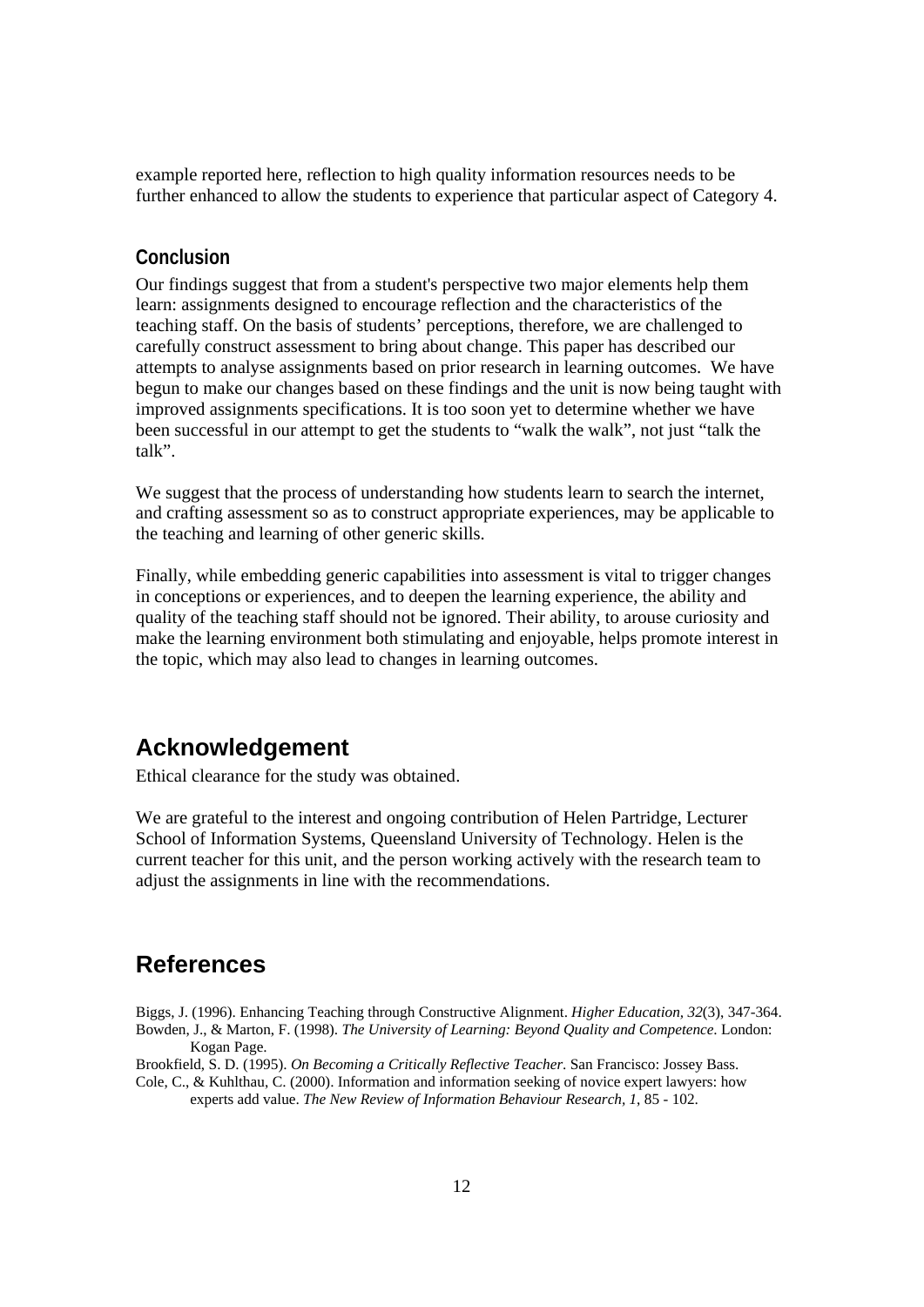example reported here, reflection to high quality information resources needs to be further enhanced to allow the students to experience that particular aspect of Category 4.

### **Conclusion**

Our findings suggest that from a student's perspective two major elements help them learn: assignments designed to encourage reflection and the characteristics of the teaching staff. On the basis of students' perceptions, therefore, we are challenged to carefully construct assessment to bring about change. This paper has described our attempts to analyse assignments based on prior research in learning outcomes. We have begun to make our changes based on these findings and the unit is now being taught with improved assignments specifications. It is too soon yet to determine whether we have been successful in our attempt to get the students to "walk the walk", not just "talk the talk".

We suggest that the process of understanding how students learn to search the internet. and crafting assessment so as to construct appropriate experiences, may be applicable to the teaching and learning of other generic skills.

Finally, while embedding generic capabilities into assessment is vital to trigger changes in conceptions or experiences, and to deepen the learning experience, the ability and quality of the teaching staff should not be ignored. Their ability, to arouse curiosity and make the learning environment both stimulating and enjoyable, helps promote interest in the topic, which may also lead to changes in learning outcomes.

# **Acknowledgement**

Ethical clearance for the study was obtained.

We are grateful to the interest and ongoing contribution of Helen Partridge, Lecturer School of Information Systems, Queensland University of Technology. Helen is the current teacher for this unit, and the person working actively with the research team to adjust the assignments in line with the recommendations.

# **References**

Biggs, J. (1996). Enhancing Teaching through Constructive Alignment. *Higher Education, 32*(3), 347-364. Bowden, J., & Marton, F. (1998). *The University of Learning: Beyond Quality and Competence*. London:

Kogan Page.

Brookfield, S. D. (1995). *On Becoming a Critically Reflective Teacher*. San Francisco: Jossey Bass.

Cole, C., & Kuhlthau, C. (2000). Information and information seeking of novice expert lawyers: how experts add value. *The New Review of Information Behaviour Research, 1*, 85 - 102.